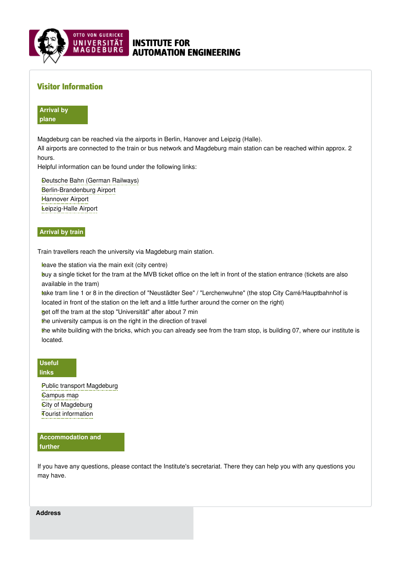

# INSTITUTE FOR AUTOMATION ENGINEERING

## Visitor Information

**Arrival by plane**

Magdeburg can be reached via the airports in Berlin, Hanover and Leipzig (Halle).

All airports are connected to the train or bus network and Magdeburg main station can be reached within approx. 2 hours.

Helpful information can be found under the following links:

Deutsche Bahn (German [Railways\)](https://www.bahn.com/en) [Berlin-Brandenburg](https://ber.berlin-airport.de/en.html) Airport [Hannover](https://www.hannover-airport.de/en/information-for-passengers-visitors/) Airport [Leipzig-Halle](https://www.mdf-ag.com/en/passengers-and-visitors/leipzig-halle-airport/) Airport

### **Arrival by train**

Train travellers reach the university via Magdeburg main station.

leave the station via the main exit (city centre)

buy a single ticket for the tram at the MVB ticket office on the left in front of the station entrance (tickets are also ‣ available in the tram)

take tram line 1 or 8 in the direction of "Neustädter See" / "Lerchenwuhne" (the stop City Carré/Hauptbahnhof is located in front of the station on the left and a little further around the corner on the right)

get off the tram at the stop "Universität" after about 7 min ‣

the university campus is on the right in the direction of travel

the white building with the bricks, which you can already see from the tram stop, is building 07, where our institute is located.

**Useful links**

> Public transport [Magdeburg](http://www.mvbnet.de/) [Campus](https://www.ovgu.de/unimagdeburg_media/Universit�t/Dokumente+und+Formulare/CampusFINDER.pdf) map City of [Magdeburg](https://www.magdeburg.de/index.php?La=2) **Fourist [information](https://www.magdeburg-tourist.de/index.phtml?sNavID=37.9&La=2)**

**Accommodation and further**

If you have any questions, please contact the Institute's secretariat. There they can help you with any questions you may have.

**Address**